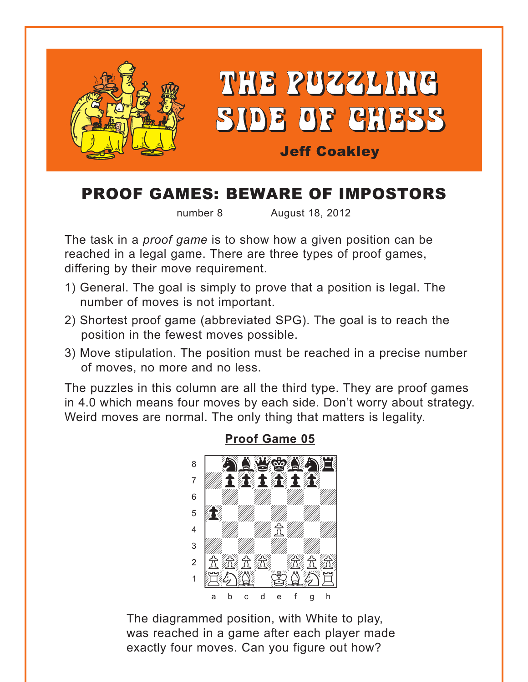<span id="page-0-0"></span>

# **PROOF GAMES: BEWARE OF IMPOSTORS**

number 8 August 18, 2012

The task in a *proof game* is to show how a given position can be reached in a legal game. There are three types of proof games, differing by their move requirement.

- 1) General. The goal is simply to prove that a position is legal. The number of moves is not important.
- 2) Shortest proof game (abbreviated SPG). The goal is to reach the position in the fewest moves possible.
- 3) Move stipulation. The position must be reached in a precise number of moves, no more and no less.

The puzzles in this column are all the third type. They are proof games in 4.0 which means four moves by each side. Don't worry about strategy. Weird moves are normal. The only thing that matters is legality.



### **Proof Game 05**

The diagrammed position, with White to play, was reached in a game after each player made exactly four moves. Can you figure out how?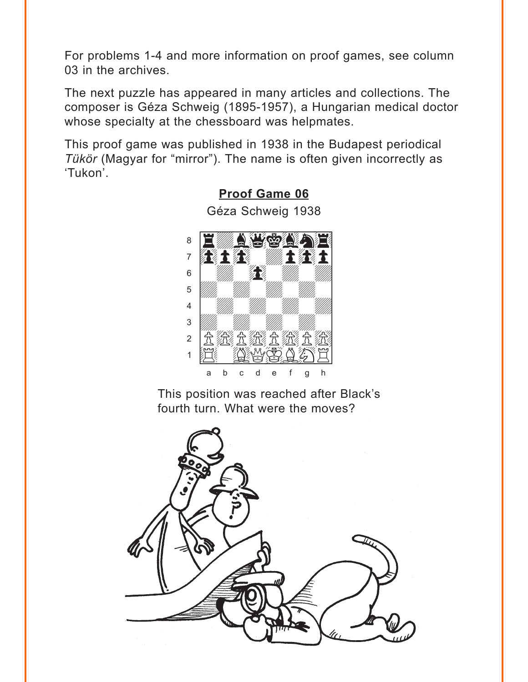<span id="page-1-0"></span>For problems 1-4 and more information on proof games, see column 03 in the archives.

The next puzzle has appeared in many articles and collections. The composer is Géza Schweig (1895-1957), a Hungarian medical doctor whose specialty at the chessboard was helpmates.

This proof game was published in 1938 in the Budapest periodical Tükör (Magyar for "mirror"). The name is often given incorrectly as 'Tukon'.



Géza Schweig 1938

**Proof Game 06** 

This position was reached after Black's fourth turn. What were the moves?

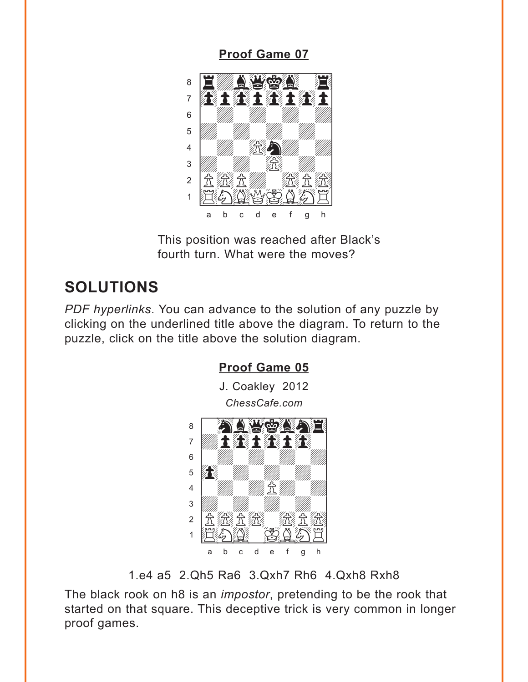### **[Proof Game 07](#page-6-0)**

<span id="page-2-0"></span>

This position was reached after Black's fourth turn. What were the moves?

## **SOLUTIONS**

*PDF hyperlinks*. You can advance to the solution of any puzzle by clicking on the underlined title above the diagram. To return to the puzzle, click on the title above the solution diagram.



1.e4 a5 2.Qh5 Ra6 3.Qxh7 Rh6 4.Qxh8 Rxh8

The black rook on h8 is an *impostor*, pretending to be the rook that started on that square. This deceptive trick is very common in longer proof games.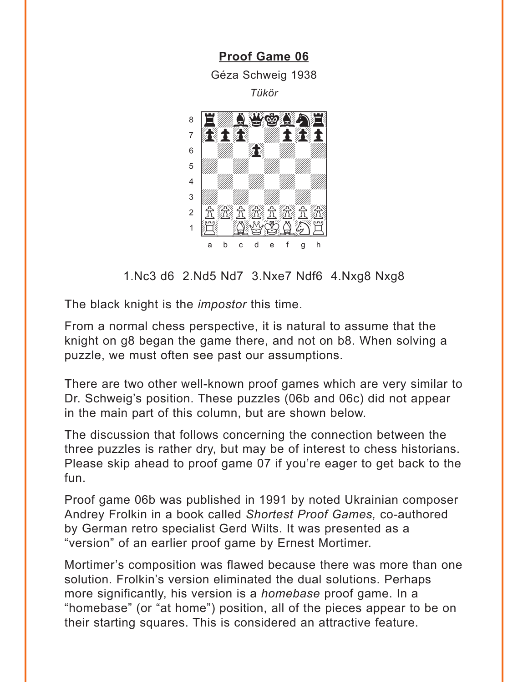<span id="page-3-0"></span>**[Proof Game 06](#page-1-0)** Géza Schweig 1938 *Tükör* where  $\frac{1}{2}$  we have the set of  $\frac{1}{2}$  $\sim$  1  $\mu$  a weight 7 60 F.G. W. F.G. F  $\mathbf{s}$  and  $\mathbf{R}$  and  $\mathbf{W}$ 5 *VIII. VIII. VIII.* 4 | *William William William William William William William William William William William William William William William William William William William William William William William William William William William W* 3 *William William William William William William William William William William William William William William W* 2 立然立然立然 1 HI( 1944 Y 20 a b c d e f g h

1.Nc3 d6 2.Nd5 Nd7 3.Nxe7 Ndf6 4.Nxg8 Nxg8

The black knight is the *impostor* this time.

From a normal chess perspective, it is natural to assume that the knight on g8 began the game there, and not on b8. When solving a puzzle, we must often see past our assumptions.

There are two other well-known proof games which are very similar to Dr. Schweig's position. These puzzles (06b and 06c) did not appear in the main part of this column, but are shown below.

The discussion that follows concerning the connection between the three puzzles is rather dry, but may be of interest to chess historians. Please skip ahead to proof game 07 if you're eager to get back to the fun.

Proof game 06b was published in 1991 by noted Ukrainian composer Andrey Frolkin in a book called *Shortest Proof Games,* co-authored by German retro specialist Gerd Wilts. It was presented as a "version" of an earlier proof game by Ernest Mortimer.

Mortimer's composition was flawed because there was more than one solution. Frolkin's version eliminated the dual solutions. Perhaps more significantly, his version is a *homebase* proof game. In a "homebase" (or "at home") position, all of the pieces appear to be on their starting squares. This is considered an attractive feature.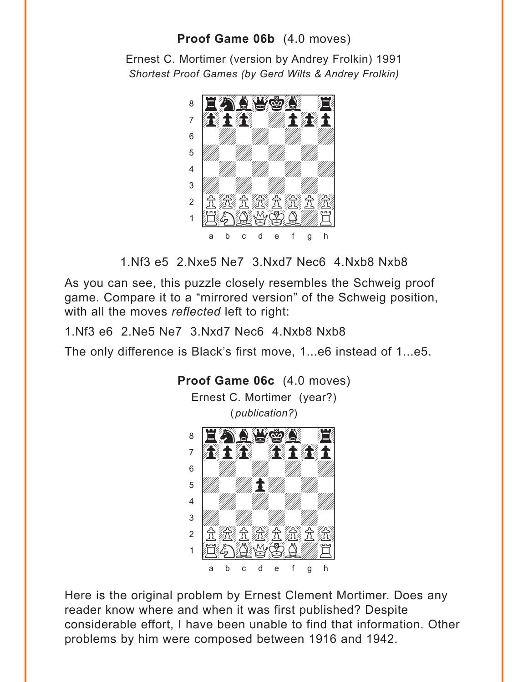## **Proof Game 06b** (4.0 moves)

Ernest C. Mortimer (version by Andrey Frolkin) 1991 *Shortest Proof Games (by Gerd Wilts & Andrey Frolkin)*



1.Nf3 e5 2.Nxe5 Ne7 3.Nxd7 Nec6 4.Nxb8 Nxb8

As you can see, this puzzle closely resembles the Schweig proof game. Compare it to a "mirrored version" of the Schweig position, with all the moves *reflected* left to right:

1.Nf3 e6 2.Ne5 Ne7 3.Nxd7 Nec6 4.Nxb8 Nxb8

The only difference is Black's first move, 1...e6 instead of 1...e5.



Here is the original problem by Ernest Clement Mortimer. Does any reader know where and when it was first published? Despite considerable effort, I have been unable to find that information. Other problems by him were composed between 1916 and 1942.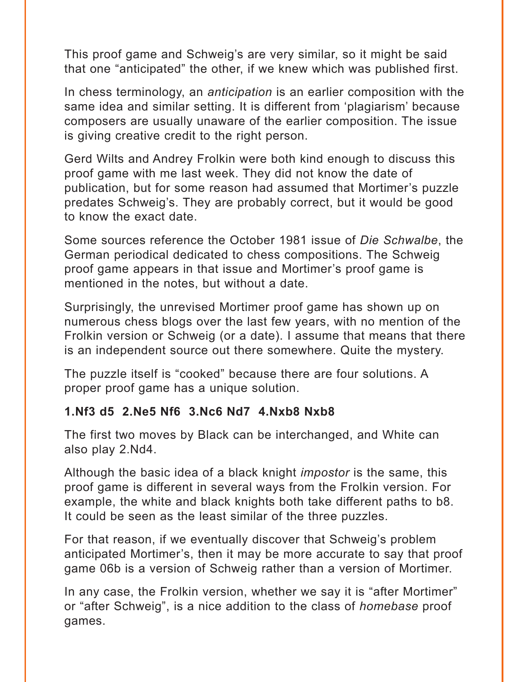This proof game and Schweig's are very similar, so it might be said that one "anticipated" the other, if we knew which was published first.

In chess terminology, an *anticipation* is an earlier composition with the same idea and similar setting. It is different from 'plagiarism' because composers are usually unaware of the earlier composition. The issue is giving creative credit to the right person.

Gerd Wilts and Andrey Frolkin were both kind enough to discuss this proof game with me last week. They did not know the date of publication, but for some reason had assumed that Mortimer's puzzle predates Schweig's. They are probably correct, but it would be good to know the exact date.

Some sources reference the October 1981 issue of *Die Schwalbe*, the German periodical dedicated to chess compositions. The Schweig proof game appears in that issue and Mortimer's proof game is mentioned in the notes, but without a date.

Surprisingly, the unrevised Mortimer proof game has shown up on numerous chess blogs over the last few years, with no mention of the Frolkin version or Schweig (or a date). I assume that means that there is an independent source out there somewhere. Quite the mystery.

The puzzle itself is "cooked" because there are four solutions. A proper proof game has a unique solution.

### **1.Nf3 d5 2.Ne5 Nf6 3.Nc6 Nd7 4.Nxb8 Nxb8**

The first two moves by Black can be interchanged, and White can also play 2.Nd4.

Although the basic idea of a black knight *impostor* is the same, this proof game is different in several ways from the Frolkin version. For example, the white and black knights both take different paths to b8. It could be seen as the least similar of the three puzzles.

For that reason, if we eventually discover that Schweig's problem anticipated Mortimer's, then it may be more accurate to say that proof game 06b is a version of Schweig rather than a version of Mortimer.

In any case, the Frolkin version, whether we say it is "after Mortimer" or "after Schweig", is a nice addition to the class of *homebase* proof games.